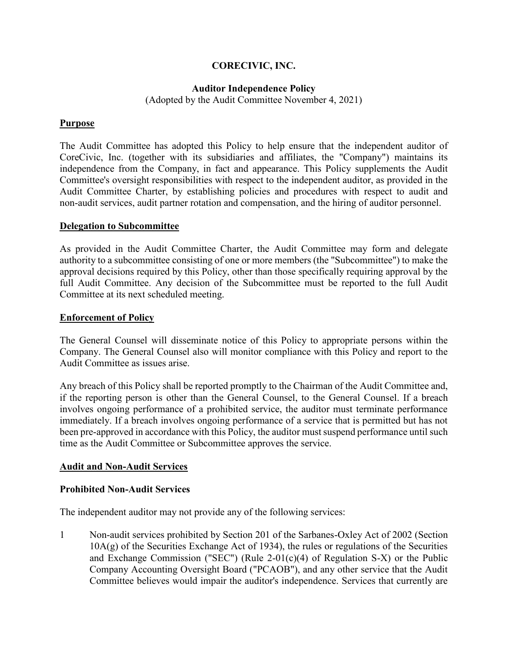### **CORECIVIC, INC.**

#### **Auditor Independence Policy**

(Adopted by the Audit Committee November 4, 2021)

#### **Purpose**

The Audit Committee has adopted this Policy to help ensure that the independent auditor of CoreCivic, Inc. (together with its subsidiaries and affiliates, the "Company") maintains its independence from the Company, in fact and appearance. This Policy supplements the Audit Committee's oversight responsibilities with respect to the independent auditor, as provided in the Audit Committee Charter, by establishing policies and procedures with respect to audit and non-audit services, audit partner rotation and compensation, and the hiring of auditor personnel.

#### **Delegation to Subcommittee**

As provided in the Audit Committee Charter, the Audit Committee may form and delegate authority to a subcommittee consisting of one or more members (the "Subcommittee") to make the approval decisions required by this Policy, other than those specifically requiring approval by the full Audit Committee. Any decision of the Subcommittee must be reported to the full Audit Committee at its next scheduled meeting.

#### **Enforcement of Policy**

The General Counsel will disseminate notice of this Policy to appropriate persons within the Company. The General Counsel also will monitor compliance with this Policy and report to the Audit Committee as issues arise.

Any breach of this Policy shall be reported promptly to the Chairman of the Audit Committee and, if the reporting person is other than the General Counsel, to the General Counsel. If a breach involves ongoing performance of a prohibited service, the auditor must terminate performance immediately. If a breach involves ongoing performance of a service that is permitted but has not been pre-approved in accordance with this Policy, the auditor must suspend performance until such time as the Audit Committee or Subcommittee approves the service.

#### **Audit and Non-Audit Services**

#### **Prohibited Non-Audit Services**

The independent auditor may not provide any of the following services:

1 Non-audit services prohibited by Section 201 of the Sarbanes-Oxley Act of 2002 (Section 10A(g) of the Securities Exchange Act of 1934), the rules or regulations of the Securities and Exchange Commission ("SEC") (Rule 2-01(c)(4) of Regulation S-X) or the Public Company Accounting Oversight Board ("PCAOB"), and any other service that the Audit Committee believes would impair the auditor's independence. Services that currently are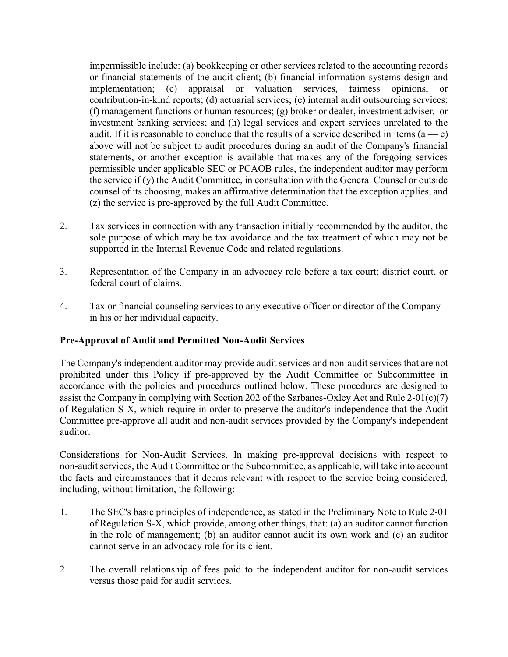impermissible include: (a) bookkeeping or other services related to the accounting records or financial statements of the audit client; (b) financial information systems design and implementation; (c) appraisal or valuation services, fairness opinions, or contribution-in-kind reports; (d) actuarial services; (e) internal audit outsourcing services; (f) management functions or human resources; (g) broker or dealer, investment adviser, or investment banking services; and (h) legal services and expert services unrelated to the audit. If it is reasonable to conclude that the results of a service described in items  $(a - e)$ above will not be subject to audit procedures during an audit of the Company's financial statements, or another exception is available that makes any of the foregoing services permissible under applicable SEC or PCAOB rules, the independent auditor may perform the service if (y) the Audit Committee, in consultation with the General Counsel or outside counsel of its choosing, makes an affirmative determination that the exception applies, and (z) the service is pre-approved by the full Audit Committee.

- 2. Tax services in connection with any transaction initially recommended by the auditor, the sole purpose of which may be tax avoidance and the tax treatment of which may not be supported in the Internal Revenue Code and related regulations.
- 3. Representation of the Company in an advocacy role before a tax court; district court, or federal court of claims.
- 4. Tax or financial counseling services to any executive officer or director of the Company in his or her individual capacity.

## **Pre-Approval of Audit and Permitted Non-Audit Services**

The Company's independent auditor may provide audit services and non-audit services that are not prohibited under this Policy if pre-approved by the Audit Committee or Subcommittee in accordance with the policies and procedures outlined below. These procedures are designed to assist the Company in complying with Section 202 of the Sarbanes-Oxley Act and Rule 2-01(c)(7) of Regulation S-X, which require in order to preserve the auditor's independence that the Audit Committee pre-approve all audit and non-audit services provided by the Company's independent auditor.

Considerations for Non-Audit Services. In making pre-approval decisions with respect to non-audit services, the Audit Committee or the Subcommittee, as applicable, will take into account the facts and circumstances that it deems relevant with respect to the service being considered, including, without limitation, the following:

- 1. The SEC's basic principles of independence, as stated in the Preliminary Note to Rule 2-01 of Regulation S-X, which provide, among other things, that: (a) an auditor cannot function in the role of management; (b) an auditor cannot audit its own work and (c) an auditor cannot serve in an advocacy role for its client.
- 2. The overall relationship of fees paid to the independent auditor for non-audit services versus those paid for audit services.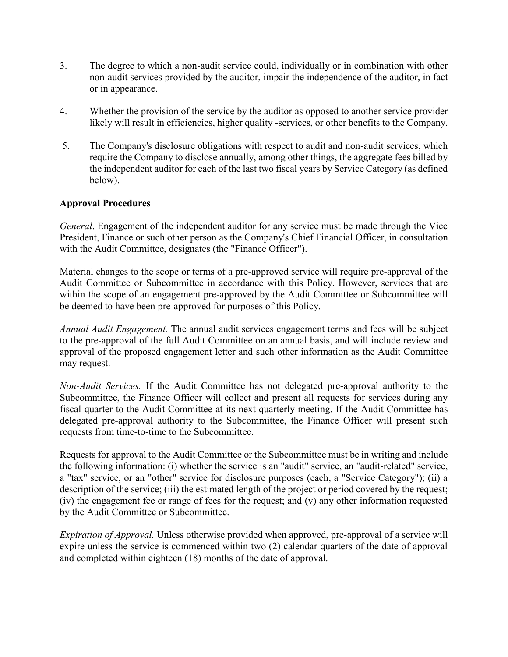- 3. The degree to which a non-audit service could, individually or in combination with other non-audit services provided by the auditor, impair the independence of the auditor, in fact or in appearance.
- 4. Whether the provision of the service by the auditor as opposed to another service provider likely will result in efficiencies, higher quality -services, or other benefits to the Company.
- 5. The Company's disclosure obligations with respect to audit and non-audit services, which require the Company to disclose annually, among other things, the aggregate fees billed by the independent auditor for each of the last two fiscal years by Service Category (as defined below).

#### **Approval Procedures**

*General*. Engagement of the independent auditor for any service must be made through the Vice President, Finance or such other person as the Company's Chief Financial Officer, in consultation with the Audit Committee, designates (the "Finance Officer").

Material changes to the scope or terms of a pre-approved service will require pre-approval of the Audit Committee or Subcommittee in accordance with this Policy. However, services that are within the scope of an engagement pre-approved by the Audit Committee or Subcommittee will be deemed to have been pre-approved for purposes of this Policy.

*Annual Audit Engagement.* The annual audit services engagement terms and fees will be subject to the pre-approval of the full Audit Committee on an annual basis, and will include review and approval of the proposed engagement letter and such other information as the Audit Committee may request.

*Non-Audit Services.* If the Audit Committee has not delegated pre-approval authority to the Subcommittee, the Finance Officer will collect and present all requests for services during any fiscal quarter to the Audit Committee at its next quarterly meeting. If the Audit Committee has delegated pre-approval authority to the Subcommittee, the Finance Officer will present such requests from time-to-time to the Subcommittee.

Requests for approval to the Audit Committee or the Subcommittee must be in writing and include the following information: (i) whether the service is an "audit" service, an "audit-related" service, a "tax" service, or an "other" service for disclosure purposes (each, a "Service Category"); (ii) a description of the service; (iii) the estimated length of the project or period covered by the request; (iv) the engagement fee or range of fees for the request; and (v) any other information requested by the Audit Committee or Subcommittee.

*Expiration of Approval.* Unless otherwise provided when approved, pre-approval of a service will expire unless the service is commenced within two (2) calendar quarters of the date of approval and completed within eighteen (18) months of the date of approval.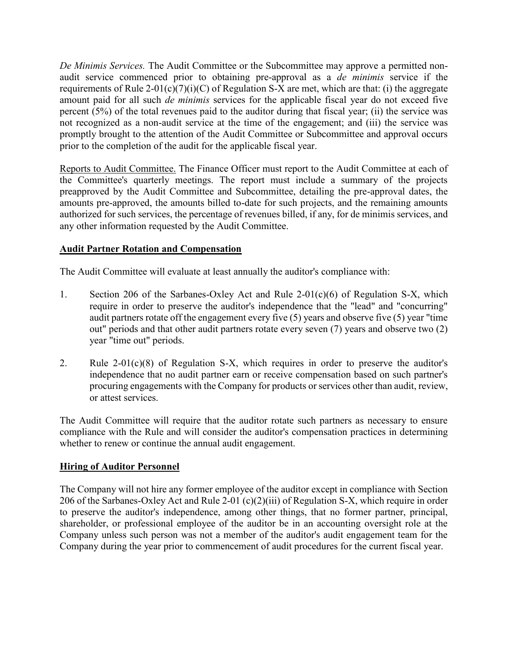*De Minimis Services.* The Audit Committee or the Subcommittee may approve a permitted nonaudit service commenced prior to obtaining pre-approval as a *de minimis* service if the requirements of Rule 2-01(c)(7)(i)(C) of Regulation S-X are met, which are that: (i) the aggregate amount paid for all such *de minimis* services for the applicable fiscal year do not exceed five percent (5%) of the total revenues paid to the auditor during that fiscal year; (ii) the service was not recognized as a non-audit service at the time of the engagement; and (iii) the service was promptly brought to the attention of the Audit Committee or Subcommittee and approval occurs prior to the completion of the audit for the applicable fiscal year.

Reports to Audit Committee. The Finance Officer must report to the Audit Committee at each of the Committee's quarterly meetings. The report must include a summary of the projects preapproved by the Audit Committee and Subcommittee, detailing the pre-approval dates, the amounts pre-approved, the amounts billed to-date for such projects, and the remaining amounts authorized for such services, the percentage of revenues billed, if any, for de minimis services, and any other information requested by the Audit Committee.

# **Audit Partner Rotation and Compensation**

The Audit Committee will evaluate at least annually the auditor's compliance with:

- 1. Section 206 of the Sarbanes-Oxley Act and Rule 2-01(c)(6) of Regulation S-X, which require in order to preserve the auditor's independence that the "lead" and "concurring" audit partners rotate off the engagement every five  $(5)$  years and observe five  $(5)$  year "time" out" periods and that other audit partners rotate every seven (7) years and observe two (2) year "time out" periods.
- 2. Rule 2-01(c)(8) of Regulation S-X, which requires in order to preserve the auditor's independence that no audit partner earn or receive compensation based on such partner's procuring engagements with the Company for products or services other than audit, review, or attest services.

The Audit Committee will require that the auditor rotate such partners as necessary to ensure compliance with the Rule and will consider the auditor's compensation practices in determining whether to renew or continue the annual audit engagement.

## **Hiring of Auditor Personnel**

The Company will not hire any former employee of the auditor except in compliance with Section 206 of the Sarbanes-Oxley Act and Rule 2-01 (c)(2)(iii) of Regulation S-X, which require in order to preserve the auditor's independence, among other things, that no former partner, principal, shareholder, or professional employee of the auditor be in an accounting oversight role at the Company unless such person was not a member of the auditor's audit engagement team for the Company during the year prior to commencement of audit procedures for the current fiscal year.